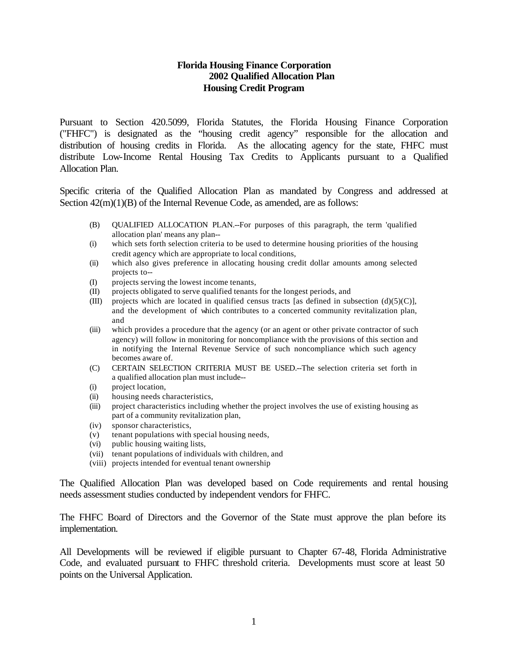## **Florida Housing Finance Corporation 2002 Qualified Allocation Plan Housing Credit Program**

Pursuant to Section 420.5099, Florida Statutes, the Florida Housing Finance Corporation ("FHFC") is designated as the "housing credit agency" responsible for the allocation and distribution of housing credits in Florida. As the allocating agency for the state, FHFC must distribute Low-Income Rental Housing Tax Credits to Applicants pursuant to a Qualified Allocation Plan.

Specific criteria of the Qualified Allocation Plan as mandated by Congress and addressed at Section  $42(m)(1)(B)$  of the Internal Revenue Code, as amended, are as follows:

- (B) QUALIFIED ALLOCATION PLAN.--For purposes of this paragraph, the term 'qualified allocation plan' means any plan--
- (i) which sets forth selection criteria to be used to determine housing priorities of the housing credit agency which are appropriate to local conditions,
- (ii) which also gives preference in allocating housing credit dollar amounts among selected projects to--
- (I) projects serving the lowest income tenants,
- (II) projects obligated to serve qualified tenants for the longest periods, and
- (III) projects which are located in qualified census tracts [as defined in subsection  $(d)(5)(C)$ ], and the development of which contributes to a concerted community revitalization plan, and
- (iii) which provides a procedure that the agency (or an agent or other private contractor of such agency) will follow in monitoring for noncompliance with the provisions of this section and in notifying the Internal Revenue Service of such noncompliance which such agency becomes aware of.
- (C) CERTAIN SELECTION CRITERIA MUST BE USED.--The selection criteria set forth in a qualified allocation plan must include--
- (i) project location,
- (ii) housing needs characteristics,
- (iii) project characteristics including whether the project involves the use of existing housing as part of a community revitalization plan,
- (iv) sponsor characteristics,
- (v) tenant populations with special housing needs,
- (vi) public housing waiting lists,
- (vii) tenant populations of individuals with children, and
- (viii) projects intended for eventual tenant ownership

The Qualified Allocation Plan was developed based on Code requirements and rental housing needs assessment studies conducted by independent vendors for FHFC.

The FHFC Board of Directors and the Governor of the State must approve the plan before its implementation.

All Developments will be reviewed if eligible pursuant to Chapter 67-48, Florida Administrative Code, and evaluated pursuant to FHFC threshold criteria. Developments must score at least 50 points on the Universal Application.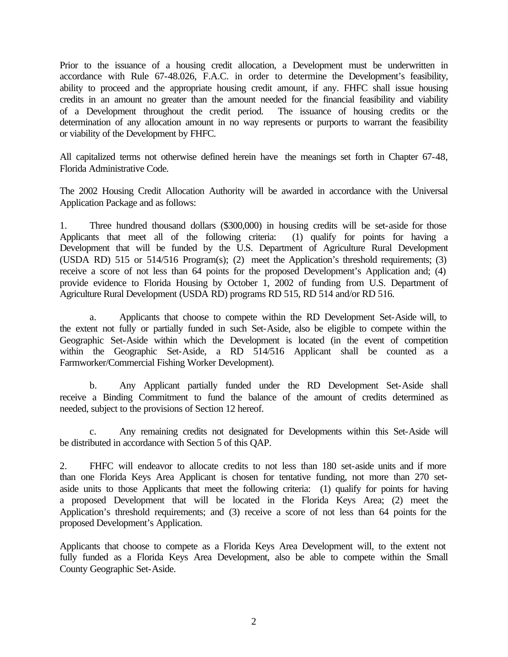Prior to the issuance of a housing credit allocation, a Development must be underwritten in accordance with Rule 67-48.026, F.A.C. in order to determine the Development's feasibility, ability to proceed and the appropriate housing credit amount, if any. FHFC shall issue housing credits in an amount no greater than the amount needed for the financial feasibility and viability of a Development throughout the credit period. The issuance of housing credits or the determination of any allocation amount in no way represents or purports to warrant the feasibility or viability of the Development by FHFC.

All capitalized terms not otherwise defined herein have the meanings set forth in Chapter 67-48, Florida Administrative Code.

The 2002 Housing Credit Allocation Authority will be awarded in accordance with the Universal Application Package and as follows:

1. Three hundred thousand dollars (\$300,000) in housing credits will be set-aside for those Applicants that meet all of the following criteria: (1) qualify for points for having a Development that will be funded by the U.S. Department of Agriculture Rural Development (USDA RD) 515 or 514/516 Program(s); (2) meet the Application's threshold requirements; (3) receive a score of not less than 64 points for the proposed Development's Application and; (4) provide evidence to Florida Housing by October 1, 2002 of funding from U.S. Department of Agriculture Rural Development (USDA RD) programs RD 515, RD 514 and/or RD 516.

a. Applicants that choose to compete within the RD Development Set-Aside will, to the extent not fully or partially funded in such Set-Aside, also be eligible to compete within the Geographic Set-Aside within which the Development is located (in the event of competition within the Geographic Set-Aside, a RD 514/516 Applicant shall be counted as a Farmworker/Commercial Fishing Worker Development).

b. Any Applicant partially funded under the RD Development Set-Aside shall receive a Binding Commitment to fund the balance of the amount of credits determined as needed, subject to the provisions of Section 12 hereof.

c. Any remaining credits not designated for Developments within this Set-Aside will be distributed in accordance with Section 5 of this QAP.

2. FHFC will endeavor to allocate credits to not less than 180 set-aside units and if more than one Florida Keys Area Applicant is chosen for tentative funding, not more than 270 setaside units to those Applicants that meet the following criteria: (1) qualify for points for having a proposed Development that will be located in the Florida Keys Area; (2) meet the Application's threshold requirements; and (3) receive a score of not less than 64 points for the proposed Development's Application.

Applicants that choose to compete as a Florida Keys Area Development will, to the extent not fully funded as a Florida Keys Area Development, also be able to compete within the Small County Geographic Set-Aside.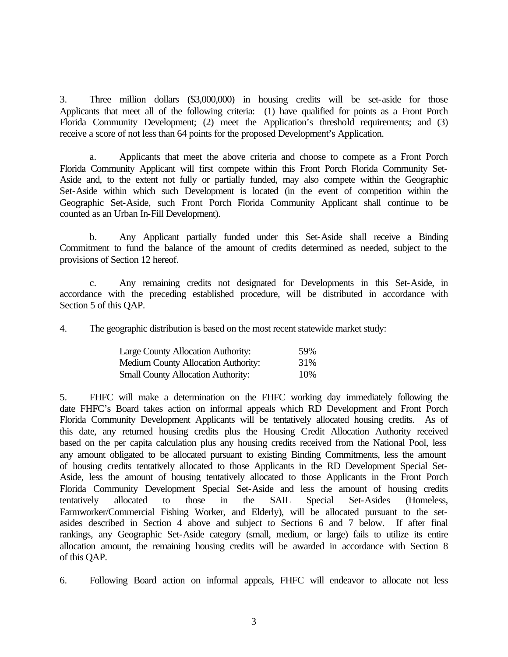3. Three million dollars (\$3,000,000) in housing credits will be set-aside for those Applicants that meet all of the following criteria: (1) have qualified for points as a Front Porch Florida Community Development; (2) meet the Application's threshold requirements; and (3) receive a score of not less than 64 points for the proposed Development's Application.

a. Applicants that meet the above criteria and choose to compete as a Front Porch Florida Community Applicant will first compete within this Front Porch Florida Community Set-Aside and, to the extent not fully or partially funded, may also compete within the Geographic Set-Aside within which such Development is located (in the event of competition within the Geographic Set-Aside, such Front Porch Florida Community Applicant shall continue to be counted as an Urban In-Fill Development).

b. Any Applicant partially funded under this Set-Aside shall receive a Binding Commitment to fund the balance of the amount of credits determined as needed, subject to the provisions of Section 12 hereof.

c. Any remaining credits not designated for Developments in this Set-Aside, in accordance with the preceding established procedure, will be distributed in accordance with Section 5 of this QAP.

4. The geographic distribution is based on the most recent statewide market study:

| <b>Large County Allocation Authority:</b>  | 59% |
|--------------------------------------------|-----|
| <b>Medium County Allocation Authority:</b> | 31% |
| <b>Small County Allocation Authority:</b>  | 10% |

5. FHFC will make a determination on the FHFC working day immediately following the date FHFC's Board takes action on informal appeals which RD Development and Front Porch Florida Community Development Applicants will be tentatively allocated housing credits. As of this date, any returned housing credits plus the Housing Credit Allocation Authority received based on the per capita calculation plus any housing credits received from the National Pool, less any amount obligated to be allocated pursuant to existing Binding Commitments, less the amount of housing credits tentatively allocated to those Applicants in the RD Development Special Set-Aside, less the amount of housing tentatively allocated to those Applicants in the Front Porch Florida Community Development Special Set-Aside and less the amount of housing credits tentatively allocated to those in the SAIL Special Set-Asides (Homeless, Farmworker/Commercial Fishing Worker, and Elderly), will be allocated pursuant to the setasides described in Section 4 above and subject to Sections 6 and 7 below. If after final rankings, any Geographic Set-Aside category (small, medium, or large) fails to utilize its entire allocation amount, the remaining housing credits will be awarded in accordance with Section 8 of this QAP.

6. Following Board action on informal appeals, FHFC will endeavor to allocate not less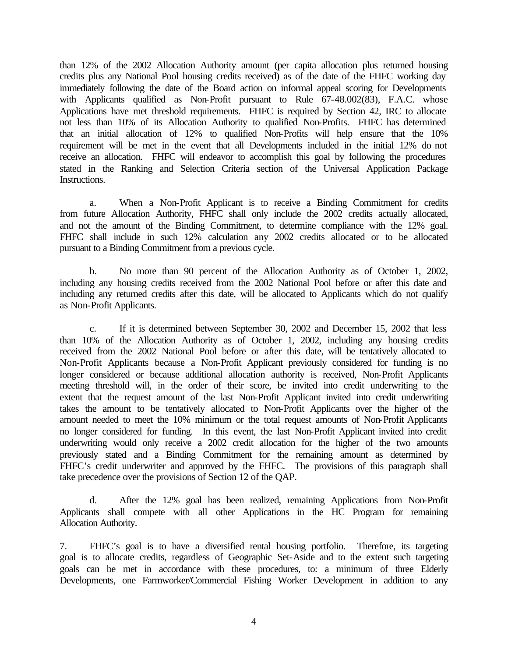than 12% of the 2002 Allocation Authority amount (per capita allocation plus returned housing credits plus any National Pool housing credits received) as of the date of the FHFC working day immediately following the date of the Board action on informal appeal scoring for Developments with Applicants qualified as Non-Profit pursuant to Rule 67-48.002(83), F.A.C. whose Applications have met threshold requirements. FHFC is required by Section 42, IRC to allocate not less than 10% of its Allocation Authority to qualified Non-Profits. FHFC has determined that an initial allocation of 12% to qualified Non-Profits will help ensure that the 10% requirement will be met in the event that all Developments included in the initial 12% do not receive an allocation. FHFC will endeavor to accomplish this goal by following the procedures stated in the Ranking and Selection Criteria section of the Universal Application Package Instructions.

a. When a Non-Profit Applicant is to receive a Binding Commitment for credits from future Allocation Authority, FHFC shall only include the 2002 credits actually allocated, and not the amount of the Binding Commitment, to determine compliance with the 12% goal. FHFC shall include in such 12% calculation any 2002 credits allocated or to be allocated pursuant to a Binding Commitment from a previous cycle.

b. No more than 90 percent of the Allocation Authority as of October 1, 2002, including any housing credits received from the 2002 National Pool before or after this date and including any returned credits after this date, will be allocated to Applicants which do not qualify as Non-Profit Applicants.

c. If it is determined between September 30, 2002 and December 15, 2002 that less than 10% of the Allocation Authority as of October 1, 2002, including any housing credits received from the 2002 National Pool before or after this date, will be tentatively allocated to Non-Profit Applicants because a Non-Profit Applicant previously considered for funding is no longer considered or because additional allocation authority is received, Non-Profit Applicants meeting threshold will, in the order of their score, be invited into credit underwriting to the extent that the request amount of the last Non-Profit Applicant invited into credit underwriting takes the amount to be tentatively allocated to Non-Profit Applicants over the higher of the amount needed to meet the 10% minimum or the total request amounts of Non-Profit Applicants no longer considered for funding. In this event, the last Non-Profit Applicant invited into credit underwriting would only receive a 2002 credit allocation for the higher of the two amounts previously stated and a Binding Commitment for the remaining amount as determined by FHFC's credit underwriter and approved by the FHFC. The provisions of this paragraph shall take precedence over the provisions of Section 12 of the QAP.

d. After the 12% goal has been realized, remaining Applications from Non-Profit Applicants shall compete with all other Applications in the HC Program for remaining Allocation Authority.

7. FHFC's goal is to have a diversified rental housing portfolio. Therefore, its targeting goal is to allocate credits, regardless of Geographic Set-Aside and to the extent such targeting goals can be met in accordance with these procedures, to: a minimum of three Elderly Developments, one Farmworker/Commercial Fishing Worker Development in addition to any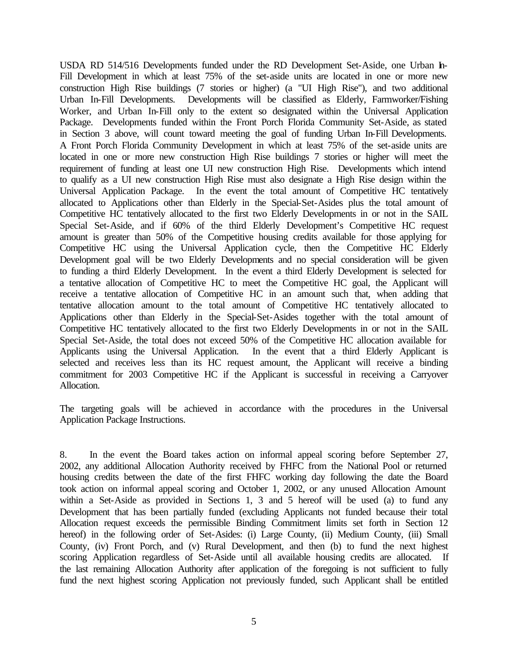USDA RD 514/516 Developments funded under the RD Development Set-Aside, one Urban In-Fill Development in which at least 75% of the set-aside units are located in one or more new construction High Rise buildings (7 stories or higher) (a "UI High Rise"), and two additional Urban In-Fill Developments. Developments will be classified as Elderly, Farmworker/Fishing Worker, and Urban In-Fill only to the extent so designated within the Universal Application Package. Developments funded within the Front Porch Florida Community Set-Aside, as stated in Section 3 above, will count toward meeting the goal of funding Urban In-Fill Developments. A Front Porch Florida Community Development in which at least 75% of the set-aside units are located in one or more new construction High Rise buildings 7 stories or higher will meet the requirement of funding at least one UI new construction High Rise. Developments which intend to qualify as a UI new construction High Rise must also designate a High Rise design within the Universal Application Package. In the event the total amount of Competitive HC tentatively allocated to Applications other than Elderly in the Special-Set-Asides plus the total amount of Competitive HC tentatively allocated to the first two Elderly Developments in or not in the SAIL Special Set-Aside, and if 60% of the third Elderly Development's Competitive HC request amount is greater than 50% of the Competitive housing credits available for those applying for Competitive HC using the Universal Application cycle, then the Competitive HC Elderly Development goal will be two Elderly Developments and no special consideration will be given to funding a third Elderly Development. In the event a third Elderly Development is selected for a tentative allocation of Competitive HC to meet the Competitive HC goal, the Applicant will receive a tentative allocation of Competitive HC in an amount such that, when adding that tentative allocation amount to the total amount of Competitive HC tentatively allocated to Applications other than Elderly in the Special-Set-Asides together with the total amount of Competitive HC tentatively allocated to the first two Elderly Developments in or not in the SAIL Special Set-Aside, the total does not exceed 50% of the Competitive HC allocation available for Applicants using the Universal Application. In the event that a third Elderly Applicant is selected and receives less than its HC request amount, the Applicant will receive a binding commitment for 2003 Competitive HC if the Applicant is successful in receiving a Carryover Allocation.

The targeting goals will be achieved in accordance with the procedures in the Universal Application Package Instructions.

8. In the event the Board takes action on informal appeal scoring before September 27, 2002, any additional Allocation Authority received by FHFC from the National Pool or returned housing credits between the date of the first FHFC working day following the date the Board took action on informal appeal scoring and October 1, 2002, or any unused Allocation Amount within a Set-Aside as provided in Sections 1, 3 and 5 hereof will be used (a) to fund any Development that has been partially funded (excluding Applicants not funded because their total Allocation request exceeds the permissible Binding Commitment limits set forth in Section 12 hereof) in the following order of Set-Asides: (i) Large County, (ii) Medium County, (iii) Small County, (iv) Front Porch, and (v) Rural Development, and then (b) to fund the next highest scoring Application regardless of Set-Aside until all available housing credits are allocated. If the last remaining Allocation Authority after application of the foregoing is not sufficient to fully fund the next highest scoring Application not previously funded, such Applicant shall be entitled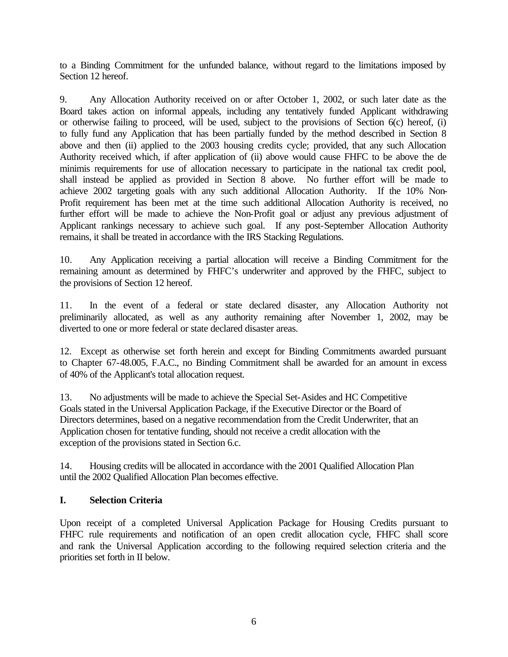to a Binding Commitment for the unfunded balance, without regard to the limitations imposed by Section 12 hereof.

9. Any Allocation Authority received on or after October 1, 2002, or such later date as the Board takes action on informal appeals, including any tentatively funded Applicant withdrawing or otherwise failing to proceed, will be used, subject to the provisions of Section 6(c) hereof, (i) to fully fund any Application that has been partially funded by the method described in Section 8 above and then (ii) applied to the 2003 housing credits cycle; provided, that any such Allocation Authority received which, if after application of (ii) above would cause FHFC to be above the de minimis requirements for use of allocation necessary to participate in the national tax credit pool, shall instead be applied as provided in Section 8 above. No further effort will be made to achieve 2002 targeting goals with any such additional Allocation Authority. If the 10% Non-Profit requirement has been met at the time such additional Allocation Authority is received, no further effort will be made to achieve the Non-Profit goal or adjust any previous adjustment of Applicant rankings necessary to achieve such goal. If any post-September Allocation Authority remains, it shall be treated in accordance with the IRS Stacking Regulations.

10. Any Application receiving a partial allocation will receive a Binding Commitment for the remaining amount as determined by FHFC's underwriter and approved by the FHFC, subject to the provisions of Section 12 hereof.

11. In the event of a federal or state declared disaster, any Allocation Authority not preliminarily allocated, as well as any authority remaining after November 1, 2002, may be diverted to one or more federal or state declared disaster areas.

12. Except as otherwise set forth herein and except for Binding Commitments awarded pursuant to Chapter 67-48.005, F.A.C., no Binding Commitment shall be awarded for an amount in excess of 40% of the Applicant's total allocation request.

13. No adjustments will be made to achieve the Special Set-Asides and HC Competitive Goals stated in the Universal Application Package, if the Executive Director or the Board of Directors determines, based on a negative recommendation from the Credit Underwriter, that an Application chosen for tentative funding, should not receive a credit allocation with the exception of the provisions stated in Section 6.c.

14. Housing credits will be allocated in accordance with the 2001 Qualified Allocation Plan until the 2002 Qualified Allocation Plan becomes effective.

# **I. Selection Criteria**

Upon receipt of a completed Universal Application Package for Housing Credits pursuant to FHFC rule requirements and notification of an open credit allocation cycle, FHFC shall score and rank the Universal Application according to the following required selection criteria and the priorities set forth in II below.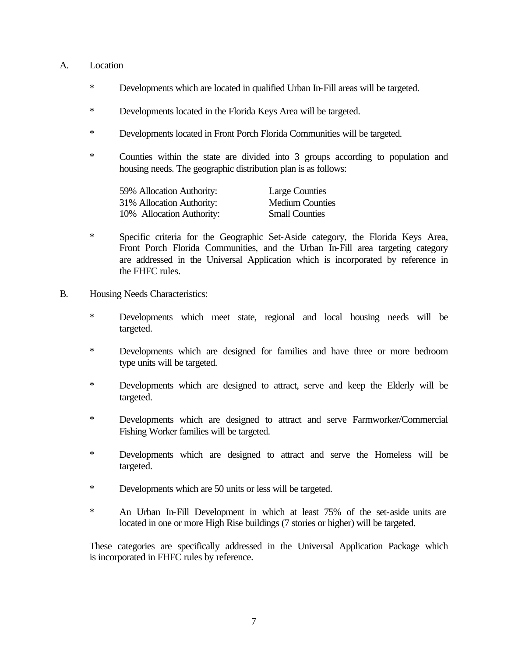#### A. Location

- \* Developments which are located in qualified Urban In-Fill areas will be targeted.
- \* Developments located in the Florida Keys Area will be targeted.
- \* Developments located in Front Porch Florida Communities will be targeted.
- \* Counties within the state are divided into 3 groups according to population and housing needs. The geographic distribution plan is as follows:

| 59% Allocation Authority: | <b>Large Counties</b>  |
|---------------------------|------------------------|
| 31% Allocation Authority: | <b>Medium Counties</b> |
| 10% Allocation Authority: | <b>Small Counties</b>  |

- \* Specific criteria for the Geographic Set-Aside category, the Florida Keys Area, Front Porch Florida Communities, and the Urban In-Fill area targeting category are addressed in the Universal Application which is incorporated by reference in the FHFC rules.
- B. Housing Needs Characteristics:
	- \* Developments which meet state, regional and local housing needs will be targeted.
	- \* Developments which are designed for families and have three or more bedroom type units will be targeted.
	- \* Developments which are designed to attract, serve and keep the Elderly will be targeted.
	- \* Developments which are designed to attract and serve Farmworker/Commercial Fishing Worker families will be targeted.
	- \* Developments which are designed to attract and serve the Homeless will be targeted.
	- \* Developments which are 50 units or less will be targeted.
	- \* An Urban In-Fill Development in which at least 75% of the set-aside units are located in one or more High Rise buildings (7 stories or higher) will be targeted.

These categories are specifically addressed in the Universal Application Package which is incorporated in FHFC rules by reference.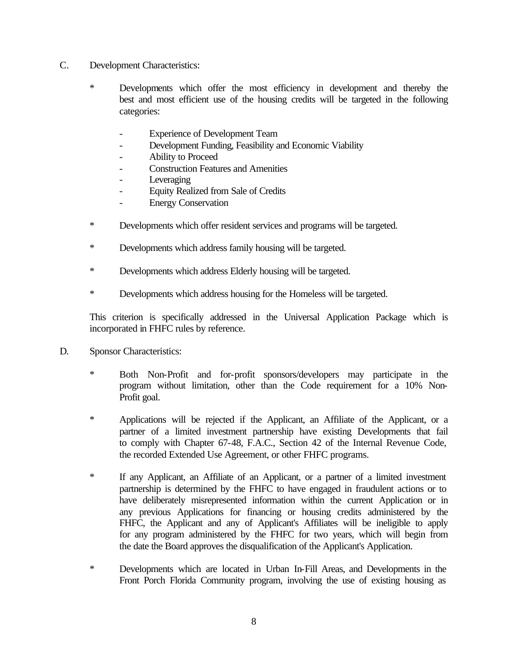- C. Development Characteristics:
	- \* Developments which offer the most efficiency in development and thereby the best and most efficient use of the housing credits will be targeted in the following categories:
		- Experience of Development Team
		- Development Funding, Feasibility and Economic Viability
		- Ability to Proceed
		- Construction Features and Amenities
		- **Leveraging**
		- Equity Realized from Sale of Credits
		- Energy Conservation
	- \* Developments which offer resident services and programs will be targeted.
	- \* Developments which address family housing will be targeted.
	- \* Developments which address Elderly housing will be targeted.
	- \* Developments which address housing for the Homeless will be targeted.

This criterion is specifically addressed in the Universal Application Package which is incorporated in FHFC rules by reference.

- D. Sponsor Characteristics:
	- \* Both Non-Profit and for-profit sponsors/developers may participate in the program without limitation, other than the Code requirement for a 10% Non-Profit goal.
	- \* Applications will be rejected if the Applicant, an Affiliate of the Applicant, or a partner of a limited investment partnership have existing Developments that fail to comply with Chapter 67-48, F.A.C., Section 42 of the Internal Revenue Code, the recorded Extended Use Agreement, or other FHFC programs.
	- \* If any Applicant, an Affiliate of an Applicant, or a partner of a limited investment partnership is determined by the FHFC to have engaged in fraudulent actions or to have deliberately misrepresented information within the current Application or in any previous Applications for financing or housing credits administered by the FHFC, the Applicant and any of Applicant's Affiliates will be ineligible to apply for any program administered by the FHFC for two years, which will begin from the date the Board approves the disqualification of the Applicant's Application.
	- \* Developments which are located in Urban In-Fill Areas, and Developments in the Front Porch Florida Community program, involving the use of existing housing as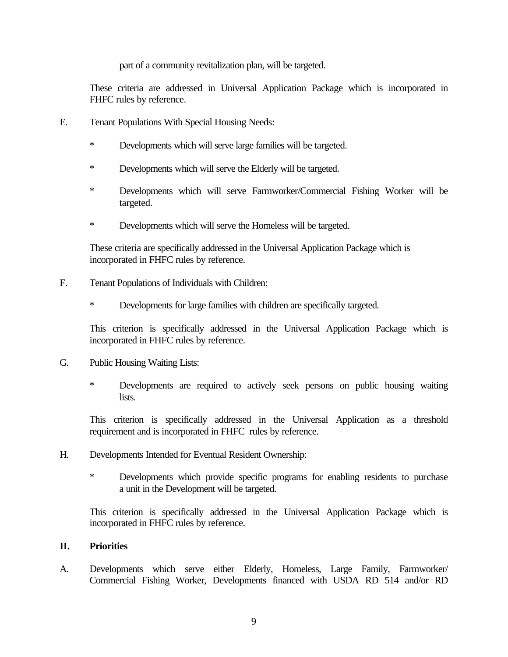part of a community revitalization plan, will be targeted.

These criteria are addressed in Universal Application Package which is incorporated in FHFC rules by reference.

- E. Tenant Populations With Special Housing Needs:
	- \* Developments which will serve large families will be targeted.
	- \* Developments which will serve the Elderly will be targeted.
	- \* Developments which will serve Farmworker/Commercial Fishing Worker will be targeted.
	- \* Developments which will serve the Homeless will be targeted.

These criteria are specifically addressed in the Universal Application Package which is incorporated in FHFC rules by reference.

- F. Tenant Populations of Individuals with Children:
	- \* Developments for large families with children are specifically targeted.

This criterion is specifically addressed in the Universal Application Package which is incorporated in FHFC rules by reference.

- G. Public Housing Waiting Lists:
	- \* Developments are required to actively seek persons on public housing waiting lists.

This criterion is specifically addressed in the Universal Application as a threshold requirement and is incorporated in FHFC rules by reference.

- H. Developments Intended for Eventual Resident Ownership:
	- \* Developments which provide specific programs for enabling residents to purchase a unit in the Development will be targeted.

This criterion is specifically addressed in the Universal Application Package which is incorporated in FHFC rules by reference.

### **II. Priorities**

A. Developments which serve either Elderly, Homeless, Large Family, Farmworker/ Commercial Fishing Worker, Developments financed with USDA RD 514 and/or RD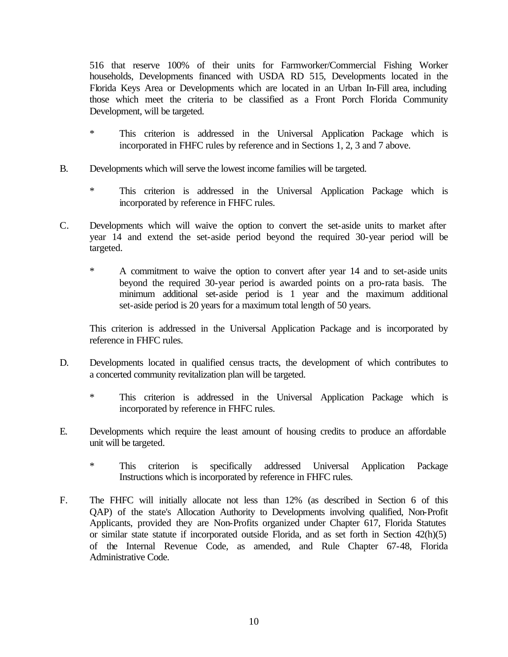516 that reserve 100% of their units for Farmworker/Commercial Fishing Worker households, Developments financed with USDA RD 515, Developments located in the Florida Keys Area or Developments which are located in an Urban In-Fill area, including those which meet the criteria to be classified as a Front Porch Florida Community Development, will be targeted.

- \* This criterion is addressed in the Universal Application Package which is incorporated in FHFC rules by reference and in Sections 1, 2, 3 and 7 above.
- B. Developments which will serve the lowest income families will be targeted.
	- \* This criterion is addressed in the Universal Application Package which is incorporated by reference in FHFC rules.
- C. Developments which will waive the option to convert the set-aside units to market after year 14 and extend the set-aside period beyond the required 30-year period will be targeted.
	- \* A commitment to waive the option to convert after year 14 and to set-aside units beyond the required 30-year period is awarded points on a pro-rata basis. The minimum additional set-aside period is 1 year and the maximum additional set-aside period is 20 years for a maximum total length of 50 years.

This criterion is addressed in the Universal Application Package and is incorporated by reference in FHFC rules.

- D. Developments located in qualified census tracts, the development of which contributes to a concerted community revitalization plan will be targeted.
	- \* This criterion is addressed in the Universal Application Package which is incorporated by reference in FHFC rules.
- E. Developments which require the least amount of housing credits to produce an affordable unit will be targeted.
	- \* This criterion is specifically addressed Universal Application Package Instructions which is incorporated by reference in FHFC rules.
- F. The FHFC will initially allocate not less than 12% (as described in Section 6 of this QAP) of the state's Allocation Authority to Developments involving qualified, Non-Profit Applicants, provided they are Non-Profits organized under Chapter 617, Florida Statutes or similar state statute if incorporated outside Florida, and as set forth in Section 42(h)(5) of the Internal Revenue Code, as amended, and Rule Chapter 67-48, Florida Administrative Code.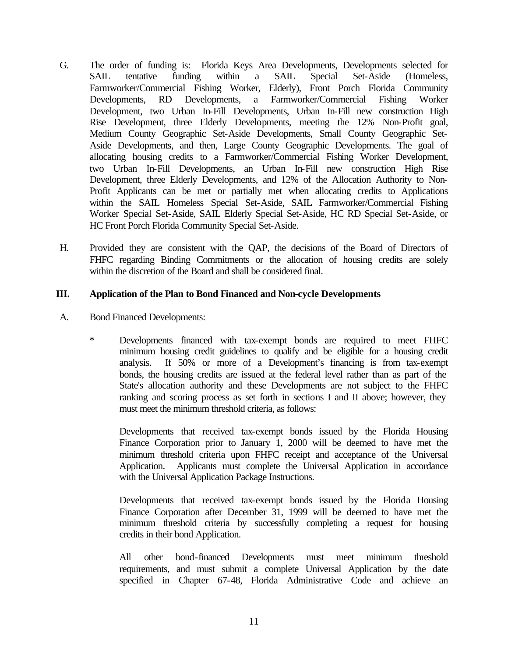- G. The order of funding is: Florida Keys Area Developments, Developments selected for SAIL tentative funding within a SAIL Special Set-Aside (Homeless, Farmworker/Commercial Fishing Worker, Elderly), Front Porch Florida Community Developments, RD Developments, a Farmworker/Commercial Fishing Worker Development, two Urban In-Fill Developments, Urban In-Fill new construction High Rise Development, three Elderly Developments, meeting the 12% Non-Profit goal, Medium County Geographic Set-Aside Developments, Small County Geographic Set-Aside Developments, and then, Large County Geographic Developments. The goal of allocating housing credits to a Farmworker/Commercial Fishing Worker Development, two Urban In-Fill Developments, an Urban In-Fill new construction High Rise Development, three Elderly Developments, and 12% of the Allocation Authority to Non-Profit Applicants can be met or partially met when allocating credits to Applications within the SAIL Homeless Special Set-Aside, SAIL Farmworker/Commercial Fishing Worker Special Set-Aside, SAIL Elderly Special Set-Aside, HC RD Special Set-Aside, or HC Front Porch Florida Community Special Set-Aside.
- H. Provided they are consistent with the QAP, the decisions of the Board of Directors of FHFC regarding Binding Commitments or the allocation of housing credits are solely within the discretion of the Board and shall be considered final.

### **III. Application of the Plan to Bond Financed and Non-cycle Developments**

- A. Bond Financed Developments:
	- \* Developments financed with tax-exempt bonds are required to meet FHFC minimum housing credit guidelines to qualify and be eligible for a housing credit analysis. If 50% or more of a Development's financing is from tax-exempt bonds, the housing credits are issued at the federal level rather than as part of the State's allocation authority and these Developments are not subject to the FHFC ranking and scoring process as set forth in sections I and II above; however, they must meet the minimum threshold criteria, as follows:

Developments that received tax-exempt bonds issued by the Florida Housing Finance Corporation prior to January 1, 2000 will be deemed to have met the minimum threshold criteria upon FHFC receipt and acceptance of the Universal Application. Applicants must complete the Universal Application in accordance with the Universal Application Package Instructions.

Developments that received tax-exempt bonds issued by the Florida Housing Finance Corporation after December 31, 1999 will be deemed to have met the minimum threshold criteria by successfully completing a request for housing credits in their bond Application.

All other bond-financed Developments must meet minimum threshold requirements, and must submit a complete Universal Application by the date specified in Chapter 67-48, Florida Administrative Code and achieve an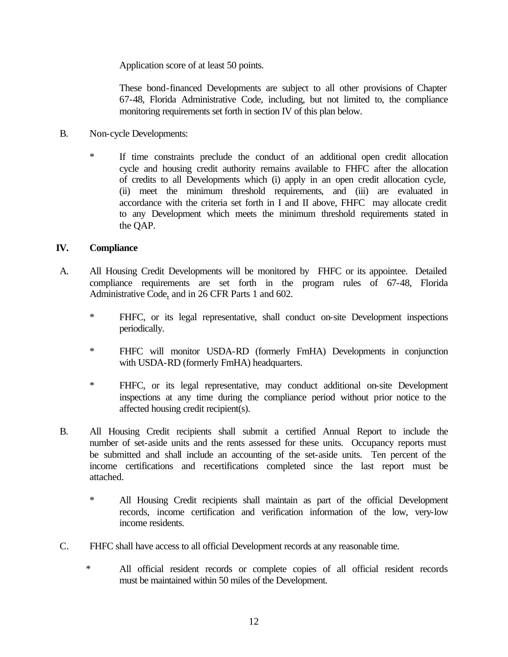Application score of at least 50 points.

These bond-financed Developments are subject to all other provisions of Chapter 67-48, Florida Administrative Code, including, but not limited to, the compliance monitoring requirements set forth in section IV of this plan below.

- B. Non-cycle Developments:
	- \* If time constraints preclude the conduct of an additional open credit allocation cycle and housing credit authority remains available to FHFC after the allocation of credits to all Developments which (i) apply in an open credit allocation cycle, (ii) meet the minimum threshold requirements, and (iii) are evaluated in accordance with the criteria set forth in I and II above, FHFC may allocate credit to any Development which meets the minimum threshold requirements stated in the QAP.

### **IV. Compliance**

- A. All Housing Credit Developments will be monitored by FHFC or its appointee. Detailed compliance requirements are set forth in the program rules of 67-48, Florida Administrative Code, and in 26 CFR Parts 1 and 602.
	- \* FHFC, or its legal representative, shall conduct on-site Development inspections periodically.
	- \* FHFC will monitor USDA-RD (formerly FmHA) Developments in conjunction with USDA-RD (formerly FmHA) headquarters.
	- \* FHFC, or its legal representative, may conduct additional on-site Development inspections at any time during the compliance period without prior notice to the affected housing credit recipient(s).
- B. All Housing Credit recipients shall submit a certified Annual Report to include the number of set-aside units and the rents assessed for these units. Occupancy reports must be submitted and shall include an accounting of the set-aside units. Ten percent of the income certifications and recertifications completed since the last report must be attached.
	- \* All Housing Credit recipients shall maintain as part of the official Development records, income certification and verification information of the low, very-low income residents.
- C. FHFC shall have access to all official Development records at any reasonable time.
	- \* All official resident records or complete copies of all official resident records must be maintained within 50 miles of the Development.